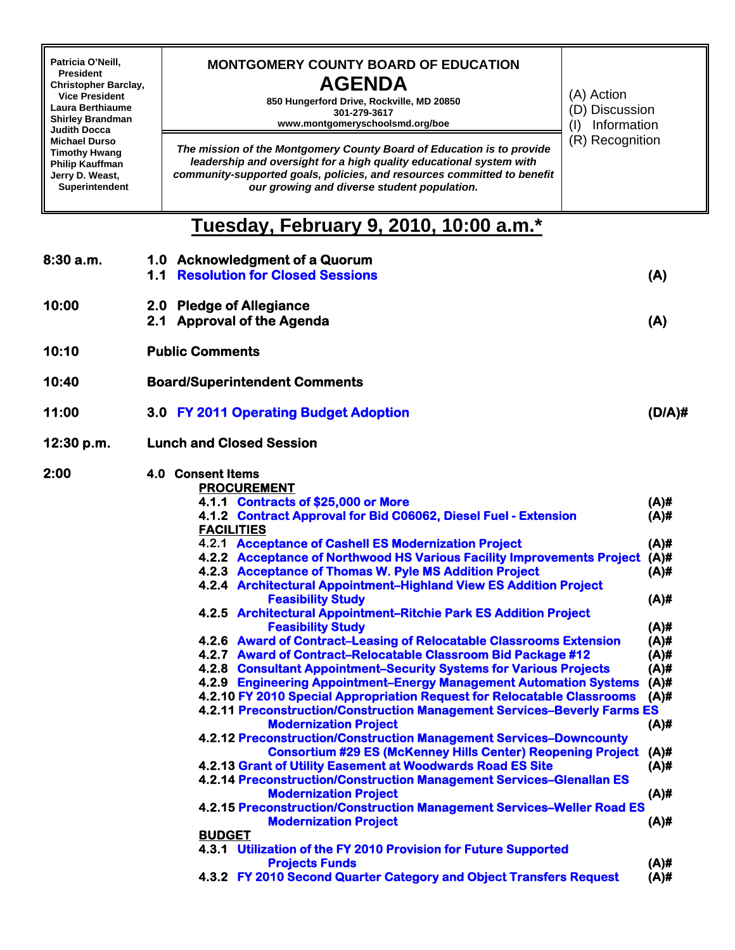| Patricia O'Neill,<br><b>President</b><br><b>Christopher Barclay,</b><br><b>Vice President</b><br>Laura Berthiaume<br><b>Shirley Brandman</b><br><b>Judith Docca</b><br><b>Michael Durso</b><br><b>Timothy Hwang</b><br>Philip Kauffman<br>Jerry D. Weast,<br>Superintendent |     | <b>MONTGOMERY COUNTY BOARD OF EDUCATION</b><br><b>AGENDA</b><br>(A) Action<br>850 Hungerford Drive, Rockville, MD 20850<br>301-279-3617<br>www.montgomeryschoolsmd.org/boe<br>(1)<br>The mission of the Montgomery County Board of Education is to provide<br>leadership and oversight for a high quality educational system with<br>community-supported goals, policies, and resources committed to benefit<br>our growing and diverse student population.                                                                                                                                                                                                                                                                                                                                                                                                                                                                                                                                                                                                                                                                                                                                                                                                                                                                                                                                                                                                                                                                                                                                                                                                   | (D) Discussion<br>Information<br>(R) Recognition                                                                                                                                                              |  |  |  |
|-----------------------------------------------------------------------------------------------------------------------------------------------------------------------------------------------------------------------------------------------------------------------------|-----|---------------------------------------------------------------------------------------------------------------------------------------------------------------------------------------------------------------------------------------------------------------------------------------------------------------------------------------------------------------------------------------------------------------------------------------------------------------------------------------------------------------------------------------------------------------------------------------------------------------------------------------------------------------------------------------------------------------------------------------------------------------------------------------------------------------------------------------------------------------------------------------------------------------------------------------------------------------------------------------------------------------------------------------------------------------------------------------------------------------------------------------------------------------------------------------------------------------------------------------------------------------------------------------------------------------------------------------------------------------------------------------------------------------------------------------------------------------------------------------------------------------------------------------------------------------------------------------------------------------------------------------------------------------|---------------------------------------------------------------------------------------------------------------------------------------------------------------------------------------------------------------|--|--|--|
|                                                                                                                                                                                                                                                                             |     | Tuesday, February 9, 2010, 10:00 a.m.*                                                                                                                                                                                                                                                                                                                                                                                                                                                                                                                                                                                                                                                                                                                                                                                                                                                                                                                                                                                                                                                                                                                                                                                                                                                                                                                                                                                                                                                                                                                                                                                                                        |                                                                                                                                                                                                               |  |  |  |
| 8:30a.m.                                                                                                                                                                                                                                                                    | 1.1 | 1.0 Acknowledgment of a Quorum<br><b>Resolution for Closed Sessions</b>                                                                                                                                                                                                                                                                                                                                                                                                                                                                                                                                                                                                                                                                                                                                                                                                                                                                                                                                                                                                                                                                                                                                                                                                                                                                                                                                                                                                                                                                                                                                                                                       | (A)                                                                                                                                                                                                           |  |  |  |
| 10:00                                                                                                                                                                                                                                                                       | 2.1 | 2.0 Pledge of Allegiance<br><b>Approval of the Agenda</b>                                                                                                                                                                                                                                                                                                                                                                                                                                                                                                                                                                                                                                                                                                                                                                                                                                                                                                                                                                                                                                                                                                                                                                                                                                                                                                                                                                                                                                                                                                                                                                                                     | (A)                                                                                                                                                                                                           |  |  |  |
| 10:10                                                                                                                                                                                                                                                                       |     | <b>Public Comments</b>                                                                                                                                                                                                                                                                                                                                                                                                                                                                                                                                                                                                                                                                                                                                                                                                                                                                                                                                                                                                                                                                                                                                                                                                                                                                                                                                                                                                                                                                                                                                                                                                                                        |                                                                                                                                                                                                               |  |  |  |
| 10:40                                                                                                                                                                                                                                                                       |     | <b>Board/Superintendent Comments</b>                                                                                                                                                                                                                                                                                                                                                                                                                                                                                                                                                                                                                                                                                                                                                                                                                                                                                                                                                                                                                                                                                                                                                                                                                                                                                                                                                                                                                                                                                                                                                                                                                          |                                                                                                                                                                                                               |  |  |  |
| 11:00                                                                                                                                                                                                                                                                       |     | 3.0 FY 2011 Operating Budget Adoption                                                                                                                                                                                                                                                                                                                                                                                                                                                                                                                                                                                                                                                                                                                                                                                                                                                                                                                                                                                                                                                                                                                                                                                                                                                                                                                                                                                                                                                                                                                                                                                                                         | (D/A) <sup>#</sup>                                                                                                                                                                                            |  |  |  |
| 12:30 p.m.                                                                                                                                                                                                                                                                  |     | <b>Lunch and Closed Session</b>                                                                                                                                                                                                                                                                                                                                                                                                                                                                                                                                                                                                                                                                                                                                                                                                                                                                                                                                                                                                                                                                                                                                                                                                                                                                                                                                                                                                                                                                                                                                                                                                                               |                                                                                                                                                                                                               |  |  |  |
| 2:00                                                                                                                                                                                                                                                                        |     | 4.0 Consent Items<br><b>PROCUREMENT</b><br>4.1.1 Contracts of \$25,000 or More<br>4.1.2 Contract Approval for Bid C06062, Diesel Fuel - Extension<br><b>FACILITIES</b><br>4.2.1 Acceptance of Cashell ES Modernization Project<br>4.2.2 Acceptance of Northwood HS Various Facility Improvements Project<br>4.2.3 Acceptance of Thomas W. Pyle MS Addition Project<br>4.2.4 Architectural Appointment-Highland View ES Addition Project<br><b>Feasibility Study</b><br>4.2.5 Architectural Appointment-Ritchie Park ES Addition Project<br><b>Feasibility Study</b><br>4.2.6 Award of Contract–Leasing of Relocatable Classrooms Extension<br>4.2.7 Award of Contract-Relocatable Classroom Bid Package #12<br>4.2.8 Consultant Appointment-Security Systems for Various Projects<br>4.2.9 Engineering Appointment–Energy Management Automation Systems<br>4.2.10 FY 2010 Special Appropriation Request for Relocatable Classrooms<br>4.2.11 Preconstruction/Construction Management Services-Beverly Farms ES<br><b>Modernization Project</b><br>4.2.12 Preconstruction/Construction Management Services-Downcounty<br><b>Consortium #29 ES (McKenney Hills Center) Reopening Project</b><br>4.2.13 Grant of Utility Easement at Woodwards Road ES Site<br>4.2.14 Preconstruction/Construction Management Services-Glenallan ES<br><b>Modernization Project</b><br>4.2.15 Preconstruction/Construction Management Services-Weller Road ES<br><b>Modernization Project</b><br><b>BUDGET</b><br>4.3.1 Utilization of the FY 2010 Provision for Future Supported<br><b>Projects Funds</b><br>4.3.2 FY 2010 Second Quarter Category and Object Transfers Request | $(A)$ #<br>$(A)$ #<br>$(A)$ #<br>$(A)$ #<br>$(A)$ #<br>$(A)$ #<br>$(A)$ #<br>$(A)$ #<br>$(A)$ #<br>$(A)$ #<br>$(A)$ #<br>$(A)$ #<br>$(A)$ #<br>$(A)$ #<br>$(A)$ #<br>$(A)$ #<br>$(A)$ #<br>$(A)$ #<br>$(A)$ # |  |  |  |